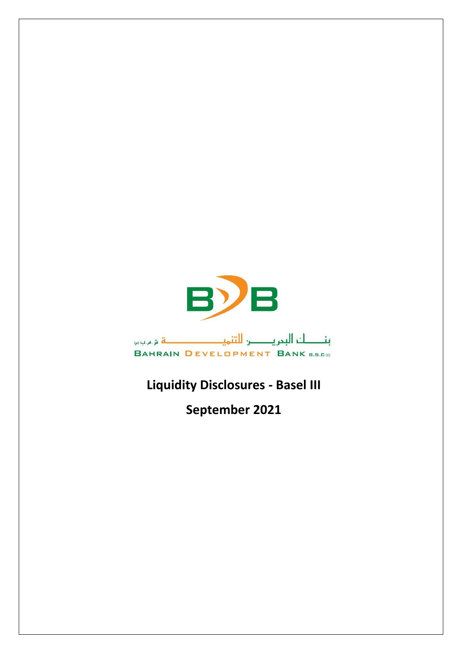

## **Liquidity Disclosures - Basel III**

**September 2021**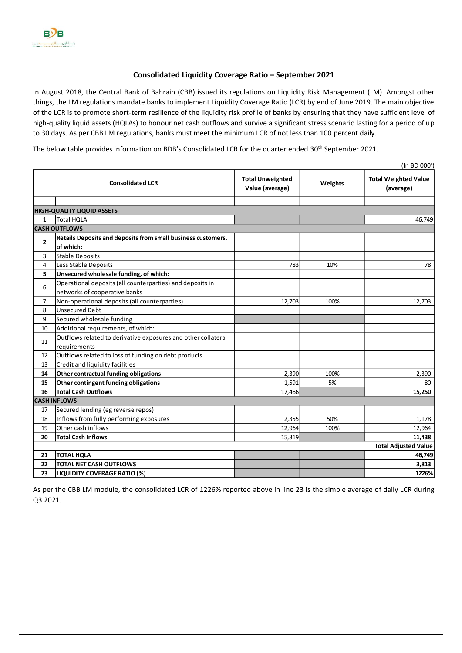## **Consolidated Liquidity Coverage Ratio – September 2021**

In August 2018, the Central Bank of Bahrain (CBB) issued its regulations on Liquidity Risk Management (LM). Amongst other things, the LM regulations mandate banks to implement Liquidity Coverage Ratio (LCR) by end of June 2019. The main objective of the LCR is to promote short-term resilience of the liquidity risk profile of banks by ensuring that they have sufficient level of high-quality liquid assets (HQLAs) to honour net cash outflows and survive a significant stress scenario lasting for a period of up to 30 days. As per CBB LM regulations, banks must meet the minimum LCR of not less than 100 percent daily.

The below table provides information on BDB's Consolidated LCR for the quarter ended 30<sup>th</sup> September 2021.

|                                                           | (In BD 000')                                                                               |                                            |         |                                          |  |  |  |  |  |
|-----------------------------------------------------------|--------------------------------------------------------------------------------------------|--------------------------------------------|---------|------------------------------------------|--|--|--|--|--|
| <b>Consolidated LCR</b>                                   |                                                                                            | <b>Total Unweighted</b><br>Value (average) | Weights | <b>Total Weighted Value</b><br>(average) |  |  |  |  |  |
|                                                           |                                                                                            |                                            |         |                                          |  |  |  |  |  |
|                                                           | <b>HIGH-QUALITY LIQUID ASSETS</b>                                                          |                                            |         | 46,749                                   |  |  |  |  |  |
| <b>Total HOLA</b><br>$\mathbf{1}$<br><b>CASH OUTFLOWS</b> |                                                                                            |                                            |         |                                          |  |  |  |  |  |
|                                                           |                                                                                            |                                            |         |                                          |  |  |  |  |  |
| $\overline{2}$                                            | Retails Deposits and deposits from small business customers,<br>of which:                  |                                            |         |                                          |  |  |  |  |  |
| 3                                                         | Stable Deposits                                                                            |                                            |         |                                          |  |  |  |  |  |
| 4                                                         | Less Stable Deposits                                                                       | 783                                        | 10%     | 78                                       |  |  |  |  |  |
| 5                                                         | Unsecured wholesale funding, of which:                                                     |                                            |         |                                          |  |  |  |  |  |
| 6                                                         | Operational deposits (all counterparties) and deposits in<br>networks of cooperative banks |                                            |         |                                          |  |  |  |  |  |
| 7                                                         | Non-operational deposits (all counterparties)                                              | 12,703                                     | 100%    | 12,703                                   |  |  |  |  |  |
| 8                                                         | <b>Unsecured Debt</b>                                                                      |                                            |         |                                          |  |  |  |  |  |
| 9                                                         | Secured wholesale funding                                                                  |                                            |         |                                          |  |  |  |  |  |
| 10                                                        | Additional requirements, of which:                                                         |                                            |         |                                          |  |  |  |  |  |
| 11                                                        | Outflows related to derivative exposures and other collateral                              |                                            |         |                                          |  |  |  |  |  |
| 12                                                        | requirements                                                                               |                                            |         |                                          |  |  |  |  |  |
| 13                                                        | Outflows related to loss of funding on debt products<br>Credit and liquidity facilities    |                                            |         |                                          |  |  |  |  |  |
| 14                                                        | Other contractual funding obligations                                                      | 2,390                                      | 100%    | 2,390                                    |  |  |  |  |  |
| 15                                                        | Other contingent funding obligations                                                       | 1,591                                      | 5%      | 80                                       |  |  |  |  |  |
| 16                                                        | <b>Total Cash Outflows</b>                                                                 | 17,466                                     |         | 15,250                                   |  |  |  |  |  |
|                                                           | <b>CASH INFLOWS</b>                                                                        |                                            |         |                                          |  |  |  |  |  |
| 17                                                        | Secured lending (eg reverse repos)                                                         |                                            |         |                                          |  |  |  |  |  |
| 18                                                        | Inflows from fully performing exposures                                                    | 2,355                                      | 50%     | 1,178                                    |  |  |  |  |  |
| 19                                                        | Other cash inflows                                                                         | 12,964                                     | 100%    | 12,964                                   |  |  |  |  |  |
| 20                                                        | <b>Total Cash Inflows</b>                                                                  | 15,319                                     |         | 11,438                                   |  |  |  |  |  |
|                                                           | <b>Total Adjusted Value</b>                                                                |                                            |         |                                          |  |  |  |  |  |
| 21                                                        | <b>TOTAL HQLA</b>                                                                          |                                            |         | 46,749                                   |  |  |  |  |  |
| 22                                                        | <b>TOTAL NET CASH OUTFLOWS</b>                                                             |                                            |         | 3,813                                    |  |  |  |  |  |
| 23                                                        | <b>LIQUIDITY COVERAGE RATIO (%)</b>                                                        |                                            |         | 1226%                                    |  |  |  |  |  |
|                                                           |                                                                                            |                                            |         |                                          |  |  |  |  |  |

As per the CBB LM module, the consolidated LCR of 1226% reported above in line 23 is the simple average of daily LCR during Q3 2021.